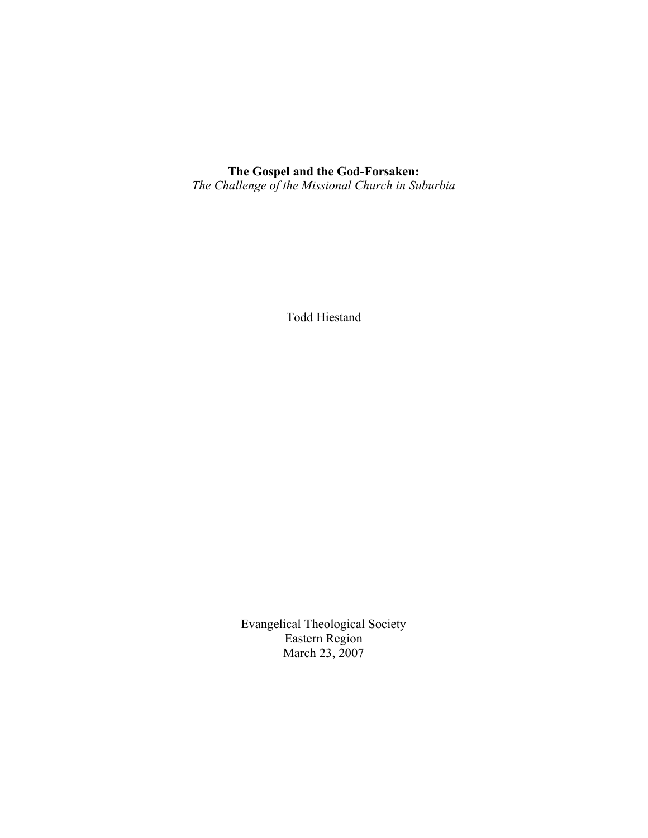# **The Gospel and the God-Forsaken:** *The Challenge of the Missional Church in Suburbia*

Todd Hiestand

Evangelical Theological Society Eastern Region March 23, 2007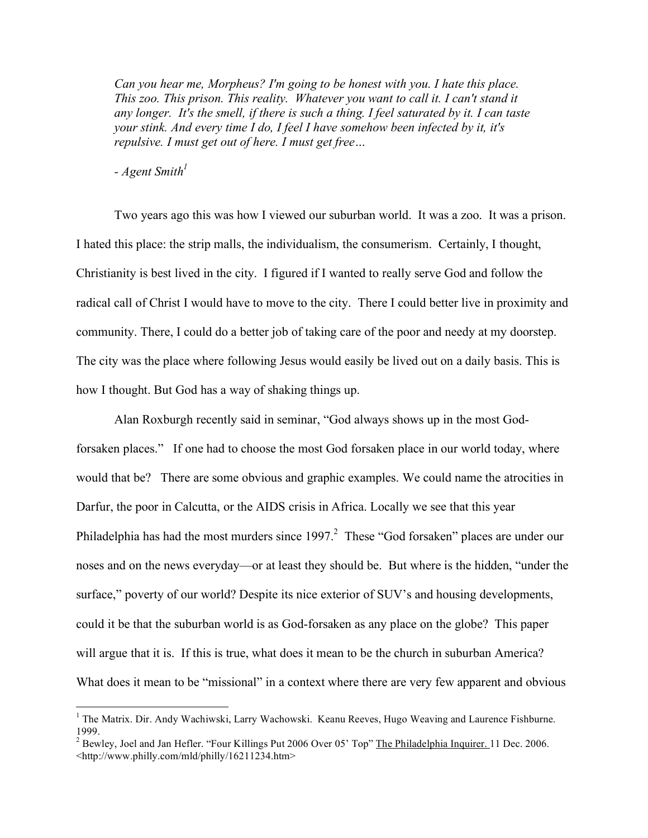*Can you hear me, Morpheus? I'm going to be honest with you. I hate this place. This zoo. This prison. This reality. Whatever you want to call it. I can't stand it any longer. It's the smell, if there is such a thing. I feel saturated by it. I can taste your stink. And every time I do, I feel I have somehow been infected by it, it's repulsive. I must get out of here. I must get free…*

*- Agent Smith1*

Two years ago this was how I viewed our suburban world. It was a zoo. It was a prison. I hated this place: the strip malls, the individualism, the consumerism. Certainly, I thought, Christianity is best lived in the city. I figured if I wanted to really serve God and follow the radical call of Christ I would have to move to the city. There I could better live in proximity and community. There, I could do a better job of taking care of the poor and needy at my doorstep. The city was the place where following Jesus would easily be lived out on a daily basis. This is how I thought. But God has a way of shaking things up.

Alan Roxburgh recently said in seminar, "God always shows up in the most Godforsaken places." If one had to choose the most God forsaken place in our world today, where would that be? There are some obvious and graphic examples. We could name the atrocities in Darfur, the poor in Calcutta, or the AIDS crisis in Africa. Locally we see that this year Philadelphia has had the most murders since 1997.<sup>2</sup> These "God forsaken" places are under our noses and on the news everyday—or at least they should be. But where is the hidden, "under the surface," poverty of our world? Despite its nice exterior of SUV's and housing developments, could it be that the suburban world is as God-forsaken as any place on the globe? This paper will argue that it is. If this is true, what does it mean to be the church in suburban America? What does it mean to be "missional" in a context where there are very few apparent and obvious

<sup>&</sup>lt;sup>1</sup> The Matrix. Dir. Andy Wachiwski, Larry Wachowski. Keanu Reeves, Hugo Weaving and Laurence Fishburne. 1999.<br><sup>2</sup> Bewley, Joel and Jan Hefler. "Four Killings Put 2006 Over 05' Top" The Philadelphia Inquirer. 11 Dec. 2006.

<sup>&</sup>lt;http://www.philly.com/mld/philly/16211234.htm>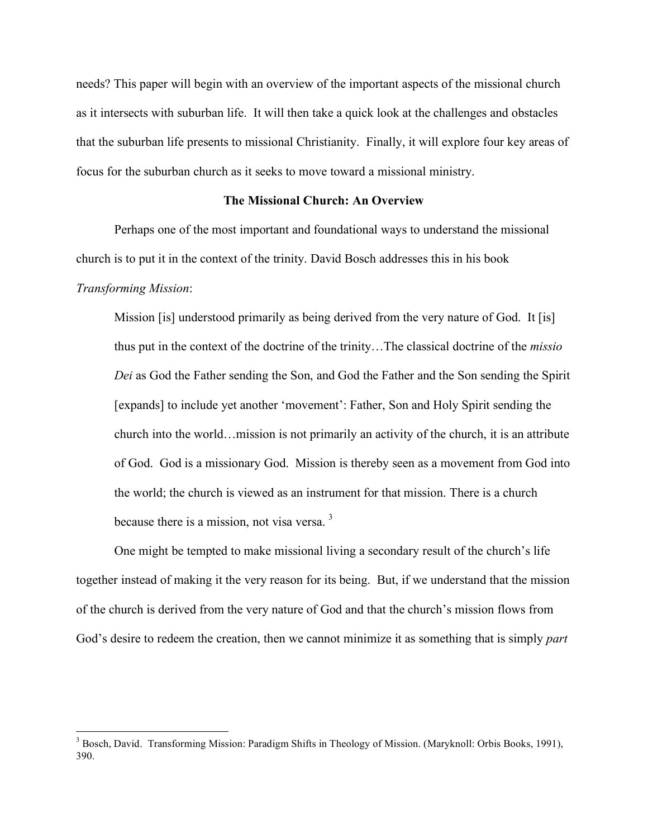needs? This paper will begin with an overview of the important aspects of the missional church as it intersects with suburban life. It will then take a quick look at the challenges and obstacles that the suburban life presents to missional Christianity. Finally, it will explore four key areas of focus for the suburban church as it seeks to move toward a missional ministry.

### **The Missional Church: An Overview**

Perhaps one of the most important and foundational ways to understand the missional church is to put it in the context of the trinity. David Bosch addresses this in his book *Transforming Mission*:

Mission [is] understood primarily as being derived from the very nature of God. It [is] thus put in the context of the doctrine of the trinity…The classical doctrine of the *missio Dei* as God the Father sending the Son, and God the Father and the Son sending the Spirit [expands] to include yet another 'movement': Father, Son and Holy Spirit sending the church into the world…mission is not primarily an activity of the church, it is an attribute of God. God is a missionary God. Mission is thereby seen as a movement from God into the world; the church is viewed as an instrument for that mission. There is a church because there is a mission, not visa versa.<sup>3</sup>

One might be tempted to make missional living a secondary result of the church's life together instead of making it the very reason for its being. But, if we understand that the mission of the church is derived from the very nature of God and that the church's mission flows from God's desire to redeem the creation, then we cannot minimize it as something that is simply *part*

<sup>&</sup>lt;sup>3</sup> Bosch, David. Transforming Mission: Paradigm Shifts in Theology of Mission. (Maryknoll: Orbis Books, 1991), 390.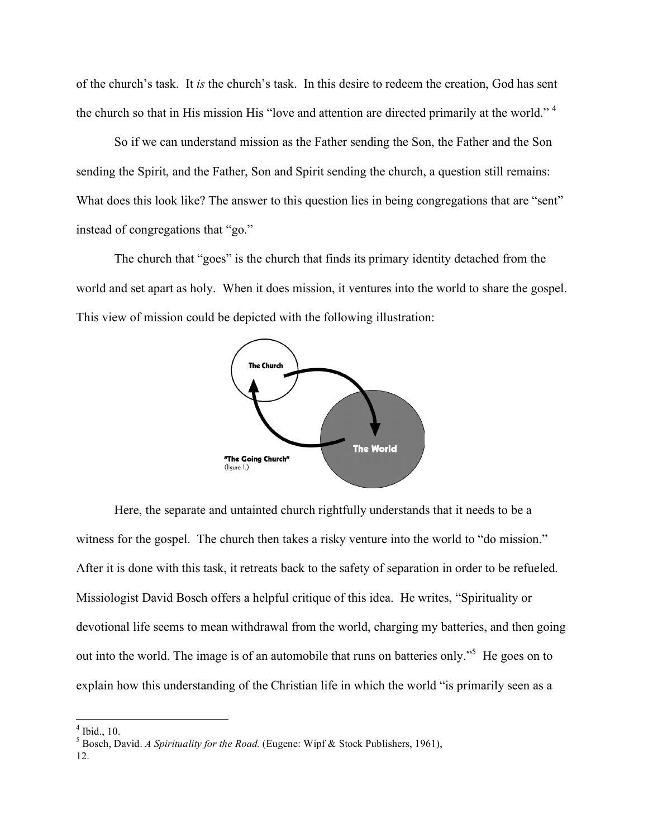of the church's task. It *is* the church's task. In this desire to redeem the creation, God has sent the church so that in His mission His "love and attention are directed primarily at the world." <sup>4</sup>

So if we can understand mission as the Father sending the Son, the Father and the Son sending the Spirit, and the Father, Son and Spirit sending the church, a question still remains: What does this look like? The answer to this question lies in being congregations that are "sent" instead of congregations that "go."

The church that "goes" is the church that finds its primary identity detached from the world and set apart as holy. When it does mission, it ventures into the world to share the gospel. This view of mission could be depicted with the following illustration:



Here, the separate and untainted church rightfully understands that it needs to be a witness for the gospel. The church then takes a risky venture into the world to "do mission." After it is done with this task, it retreats back to the safety of separation in order to be refueled. Missiologist David Bosch offers a helpful critique of this idea. He writes, "Spirituality or devotional life seems to mean withdrawal from the world, charging my batteries, and then going out into the world. The image is of an automobile that runs on batteries only."<sup>5</sup> He goes on to explain how this understanding of the Christian life in which the world "is primarily seen as a

<sup>4</sup> Ibid., 10. <sup>5</sup> Bosch, David. *<sup>A</sup> Spirituality for the Road.* (Eugene: Wipf & Stock Publishers, 1961),

<sup>12.</sup>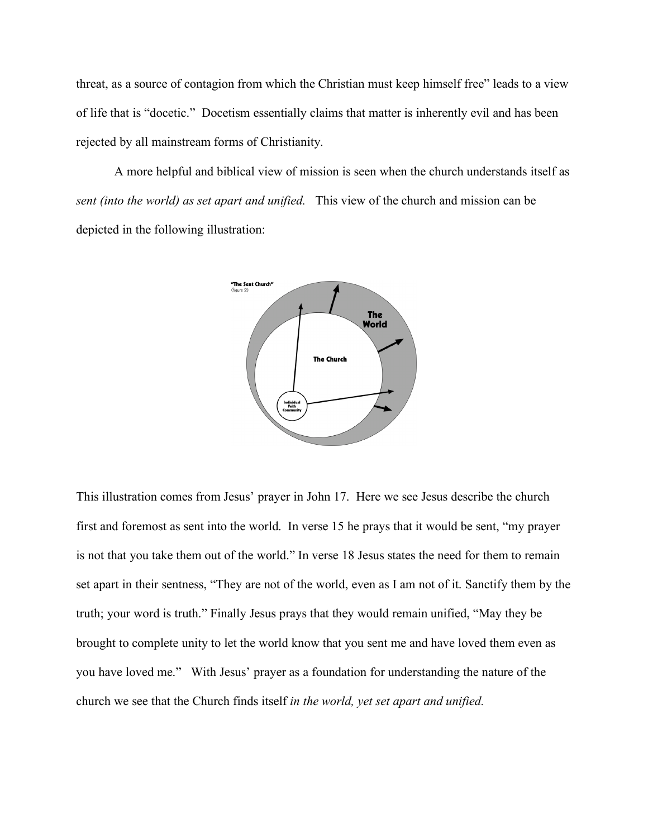threat, as a source of contagion from which the Christian must keep himself free" leads to a view of life that is "docetic." Docetism essentially claims that matter is inherently evil and has been rejected by all mainstream forms of Christianity.

A more helpful and biblical view of mission is seen when the church understands itself as *sent (into the world) as set apart and unified.* This view of the church and mission can be depicted in the following illustration:



This illustration comes from Jesus' prayer in John 17. Here we see Jesus describe the church first and foremost as sent into the world. In verse 15 he prays that it would be sent, "my prayer is not that you take them out of the world." In verse 18 Jesus states the need for them to remain set apart in their sentness, "They are not of the world, even as I am not of it. Sanctify them by the truth; your word is truth." Finally Jesus prays that they would remain unified, "May they be brought to complete unity to let the world know that you sent me and have loved them even as you have loved me." With Jesus' prayer as a foundation for understanding the nature of the church we see that the Church finds itself *in the world, yet set apart and unified.*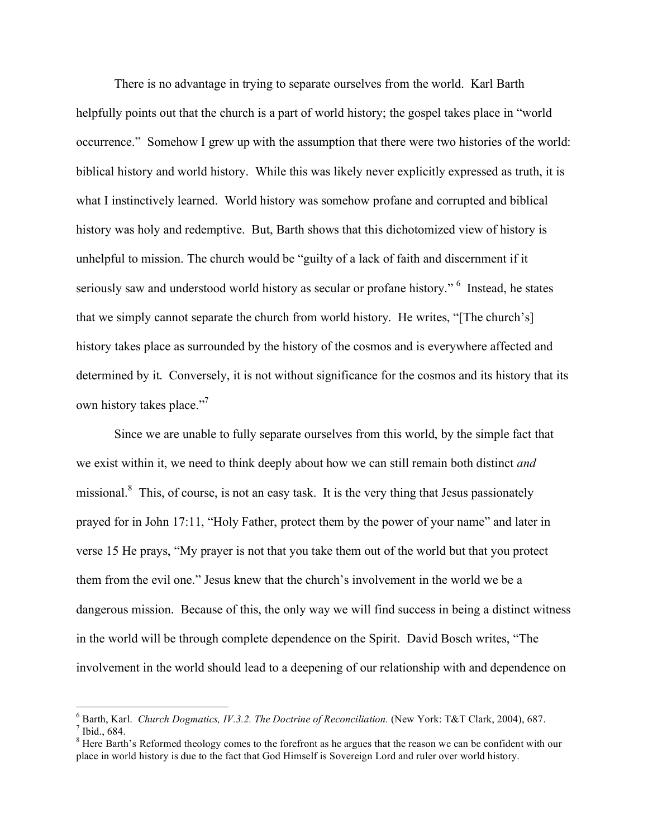There is no advantage in trying to separate ourselves from the world. Karl Barth helpfully points out that the church is a part of world history; the gospel takes place in "world occurrence." Somehow I grew up with the assumption that there were two histories of the world: biblical history and world history. While this was likely never explicitly expressed as truth, it is what I instinctively learned. World history was somehow profane and corrupted and biblical history was holy and redemptive. But, Barth shows that this dichotomized view of history is unhelpful to mission. The church would be "guilty of a lack of faith and discernment if it seriously saw and understood world history as secular or profane history." <sup>6</sup> Instead, he states that we simply cannot separate the church from world history. He writes, "[The church's] history takes place as surrounded by the history of the cosmos and is everywhere affected and determined by it. Conversely, it is not without significance for the cosmos and its history that its own history takes place."<sup>7</sup>

Since we are unable to fully separate ourselves from this world, by the simple fact that we exist within it, we need to think deeply about how we can still remain both distinct *and* missional.<sup>8</sup> This, of course, is not an easy task. It is the very thing that Jesus passionately prayed for in John 17:11, "Holy Father, protect them by the power of your name" and later in verse 15 He prays, "My prayer is not that you take them out of the world but that you protect them from the evil one." Jesus knew that the church's involvement in the world we be a dangerous mission. Because of this, the only way we will find success in being a distinct witness in the world will be through complete dependence on the Spirit. David Bosch writes, "The involvement in the world should lead to a deepening of our relationship with and dependence on

<sup>&</sup>lt;sup>6</sup> Barth, Karl. *Church Dogmatics, IV.3.2. The Doctrine of Reconciliation*. (New York: T&T Clark, 2004), 687.<br><sup>7</sup> Ibid., 684.<br><sup>8</sup> Here Barth's Reformed theology comes to the forefront as he argues that the reason we can

place in world history is due to the fact that God Himself is Sovereign Lord and ruler over world history.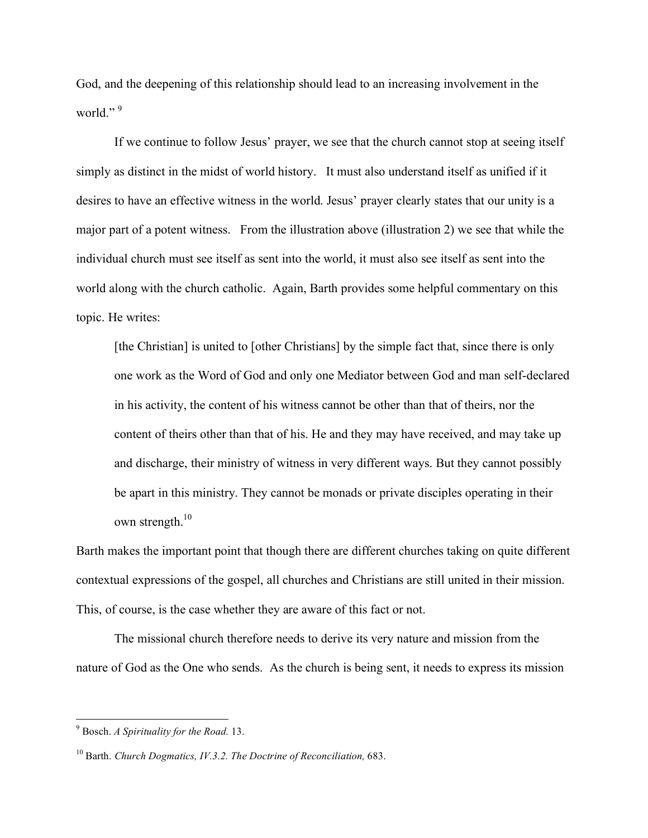God, and the deepening of this relationship should lead to an increasing involvement in the world."<sup>9</sup>

If we continue to follow Jesus' prayer, we see that the church cannot stop at seeing itself simply as distinct in the midst of world history. It must also understand itself as unified if it desires to have an effective witness in the world. Jesus' prayer clearly states that our unity is a major part of a potent witness. From the illustration above (illustration 2) we see that while the individual church must see itself as sent into the world, it must also see itself as sent into the world along with the church catholic. Again, Barth provides some helpful commentary on this topic. He writes:

[the Christian] is united to [other Christians] by the simple fact that, since there is only one work as the Word of God and only one Mediator between God and man self-declared in his activity, the content of his witness cannot be other than that of theirs, nor the content of theirs other than that of his. He and they may have received, and may take up and discharge, their ministry of witness in very different ways. But they cannot possibly be apart in this ministry. They cannot be monads or private disciples operating in their own strength. $10$ 

Barth makes the important point that though there are different churches taking on quite different contextual expressions of the gospel, all churches and Christians are still united in their mission. This, of course, is the case whether they are aware of this fact or not.

The missional church therefore needs to derive its very nature and mission from the nature of God as the One who sends. As the church is being sent, it needs to express its mission

 <sup>9</sup> Bosch. *<sup>A</sup> Spirituality for the Road.* 13.

<sup>10</sup> Barth. *Church Dogmatics, IV.3.2. The Doctrine of Reconciliation,* 683.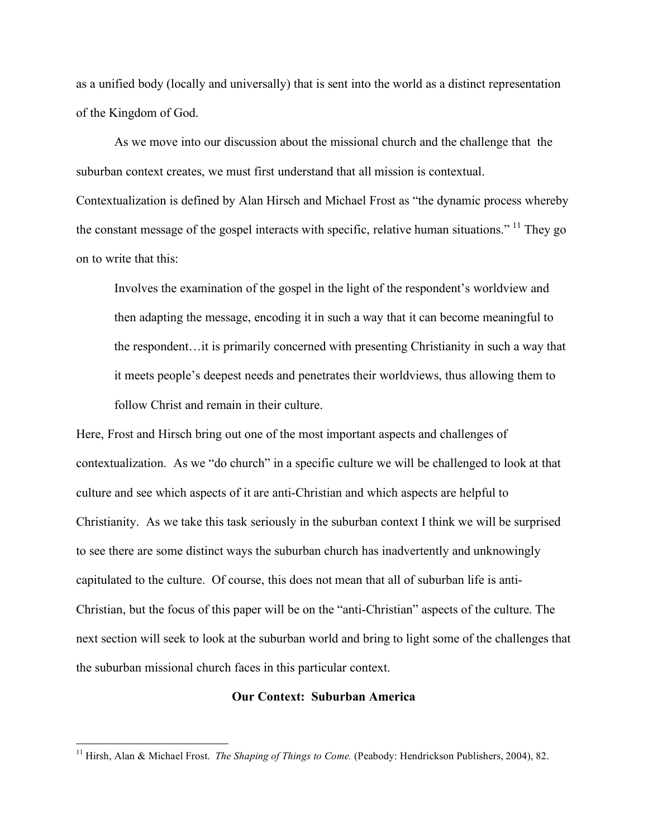as a unified body (locally and universally) that is sent into the world as a distinct representation of the Kingdom of God.

As we move into our discussion about the missional church and the challenge that the suburban context creates, we must first understand that all mission is contextual. Contextualization is defined by Alan Hirsch and Michael Frost as "the dynamic process whereby the constant message of the gospel interacts with specific, relative human situations."<sup>11</sup> They go on to write that this:

Involves the examination of the gospel in the light of the respondent's worldview and then adapting the message, encoding it in such a way that it can become meaningful to the respondent…it is primarily concerned with presenting Christianity in such a way that it meets people's deepest needs and penetrates their worldviews, thus allowing them to follow Christ and remain in their culture.

Here, Frost and Hirsch bring out one of the most important aspects and challenges of contextualization. As we "do church" in a specific culture we will be challenged to look at that culture and see which aspects of it are anti-Christian and which aspects are helpful to Christianity. As we take this task seriously in the suburban context I think we will be surprised to see there are some distinct ways the suburban church has inadvertently and unknowingly capitulated to the culture. Of course, this does not mean that all of suburban life is anti-Christian, but the focus of this paper will be on the "anti-Christian" aspects of the culture. The next section will seek to look at the suburban world and bring to light some of the challenges that the suburban missional church faces in this particular context.

### **Our Context: Suburban America**

 <sup>11</sup> Hirsh, Alan & Michael Frost. *The Shaping of Things to Come.* (Peabody: Hendrickson Publishers, 2004), 82.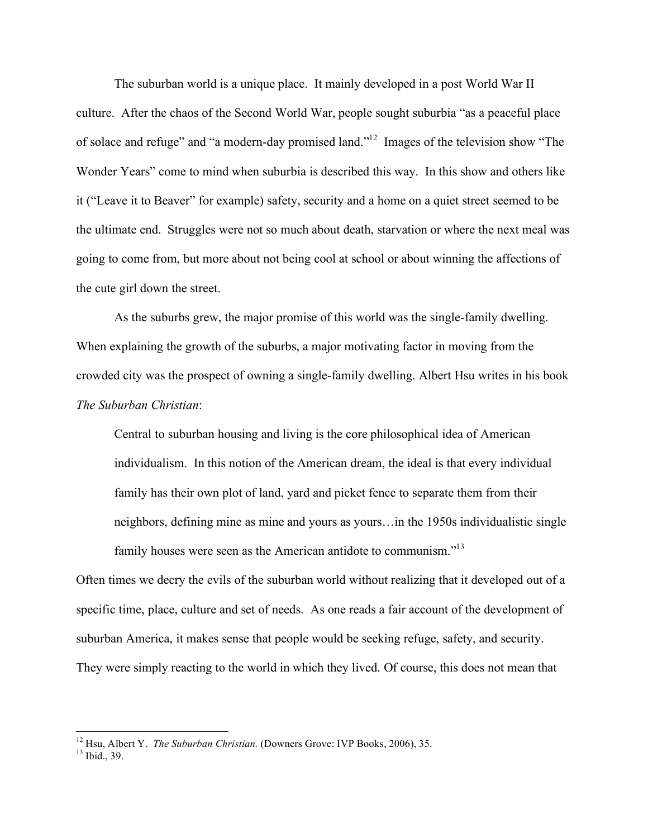The suburban world is a unique place. It mainly developed in a post World War II culture. After the chaos of the Second World War, people sought suburbia "as a peaceful place of solace and refuge" and "a modern-day promised land."<sup>12</sup> Images of the television show "The Wonder Years" come to mind when suburbia is described this way. In this show and others like it ("Leave it to Beaver" for example) safety, security and a home on a quiet street seemed to be the ultimate end. Struggles were not so much about death, starvation or where the next meal was going to come from, but more about not being cool at school or about winning the affections of the cute girl down the street.

As the suburbs grew, the major promise of this world was the single-family dwelling. When explaining the growth of the suburbs, a major motivating factor in moving from the crowded city was the prospect of owning a single-family dwelling. Albert Hsu writes in his book *The Suburban Christian*:

Central to suburban housing and living is the core philosophical idea of American individualism. In this notion of the American dream, the ideal is that every individual family has their own plot of land, yard and picket fence to separate them from their neighbors, defining mine as mine and yours as yours…in the 1950s individualistic single family houses were seen as the American antidote to communism."<sup>13</sup>

Often times we decry the evils of the suburban world without realizing that it developed out of a specific time, place, culture and set of needs. As one reads a fair account of the development of suburban America, it makes sense that people would be seeking refuge, safety, and security. They were simply reacting to the world in which they lived. Of course, this does not mean that

<sup>&</sup>lt;sup>12</sup> Hsu, Albert Y. *The Suburban Christian*. (Downers Grove: IVP Books, 2006), 35.<br><sup>13</sup> Ibid., 39.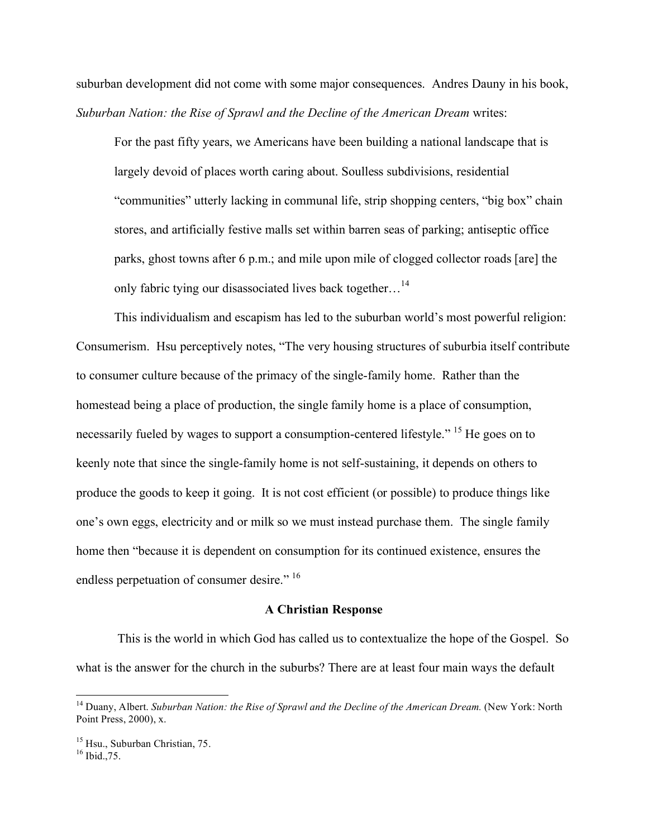suburban development did not come with some major consequences. Andres Dauny in his book, *Suburban Nation: the Rise of Sprawl and the Decline of the American Dream* writes:

For the past fifty years, we Americans have been building a national landscape that is largely devoid of places worth caring about. Soulless subdivisions, residential "communities" utterly lacking in communal life, strip shopping centers, "big box" chain stores, and artificially festive malls set within barren seas of parking; antiseptic office parks, ghost towns after 6 p.m.; and mile upon mile of clogged collector roads [are] the only fabric tying our disassociated lives back together...<sup>14</sup>

This individualism and escapism has led to the suburban world's most powerful religion: Consumerism. Hsu perceptively notes, "The very housing structures of suburbia itself contribute to consumer culture because of the primacy of the single-family home. Rather than the homestead being a place of production, the single family home is a place of consumption, necessarily fueled by wages to support a consumption-centered lifestyle." <sup>15</sup> He goes on to keenly note that since the single-family home is not self-sustaining, it depends on others to produce the goods to keep it going. It is not cost efficient (or possible) to produce things like one's own eggs, electricity and or milk so we must instead purchase them. The single family home then "because it is dependent on consumption for its continued existence, ensures the endless perpetuation of consumer desire." <sup>16</sup>

#### **A Christian Response**

This is the world in which God has called us to contextualize the hope of the Gospel. So what is the answer for the church in the suburbs? There are at least four main ways the default

 <sup>14</sup> Duany, Albert. *Suburban Nation: the Rise of Sprawl and the Decline of the American Dream.* (New York: North Point Press, 2000), x.

<sup>&</sup>lt;sup>15</sup> Hsu., Suburban Christian, 75.<br><sup>16</sup> Ibid., 75.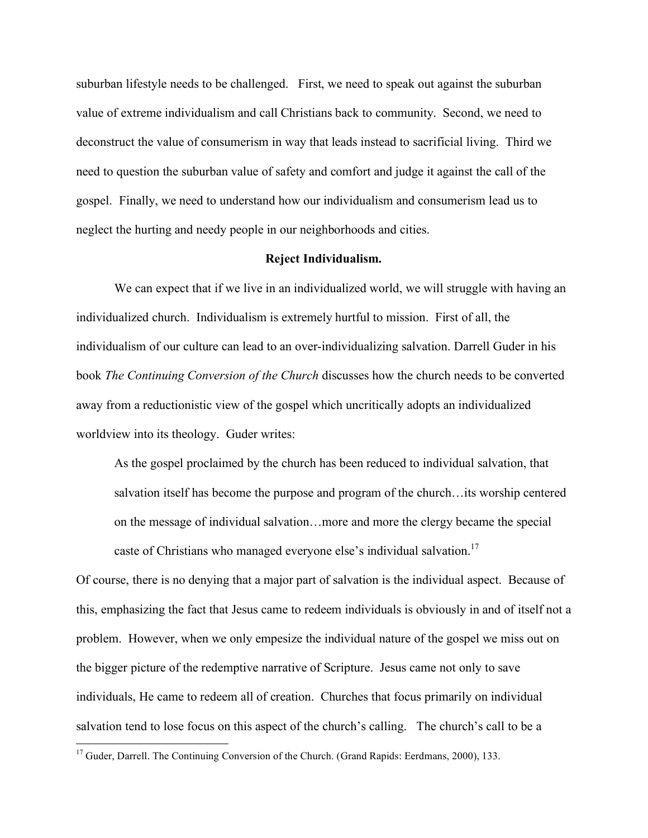suburban lifestyle needs to be challenged. First, we need to speak out against the suburban value of extreme individualism and call Christians back to community. Second, we need to deconstruct the value of consumerism in way that leads instead to sacrificial living. Third we need to question the suburban value of safety and comfort and judge it against the call of the gospel. Finally, we need to understand how our individualism and consumerism lead us to neglect the hurting and needy people in our neighborhoods and cities.

### **Reject Individualism.**

We can expect that if we live in an individualized world, we will struggle with having an individualized church. Individualism is extremely hurtful to mission. First of all, the individualism of our culture can lead to an over-individualizing salvation. Darrell Guder in his book *The Continuing Conversion of the Church* discusses how the church needs to be converted away from a reductionistic view of the gospel which uncritically adopts an individualized worldview into its theology. Guder writes:

As the gospel proclaimed by the church has been reduced to individual salvation, that salvation itself has become the purpose and program of the church…its worship centered on the message of individual salvation…more and more the clergy became the special caste of Christians who managed everyone else's individual salvation.<sup>17</sup>

Of course, there is no denying that a major part of salvation is the individual aspect. Because of this, emphasizing the fact that Jesus came to redeem individuals is obviously in and of itself not a problem. However, when we only empesize the individual nature of the gospel we miss out on the bigger picture of the redemptive narrative of Scripture. Jesus came not only to save individuals, He came to redeem all of creation. Churches that focus primarily on individual salvation tend to lose focus on this aspect of the church's calling. The church's call to be a

<sup>&</sup>lt;sup>17</sup> Guder, Darrell. The Continuing Conversion of the Church. (Grand Rapids: Eerdmans, 2000), 133.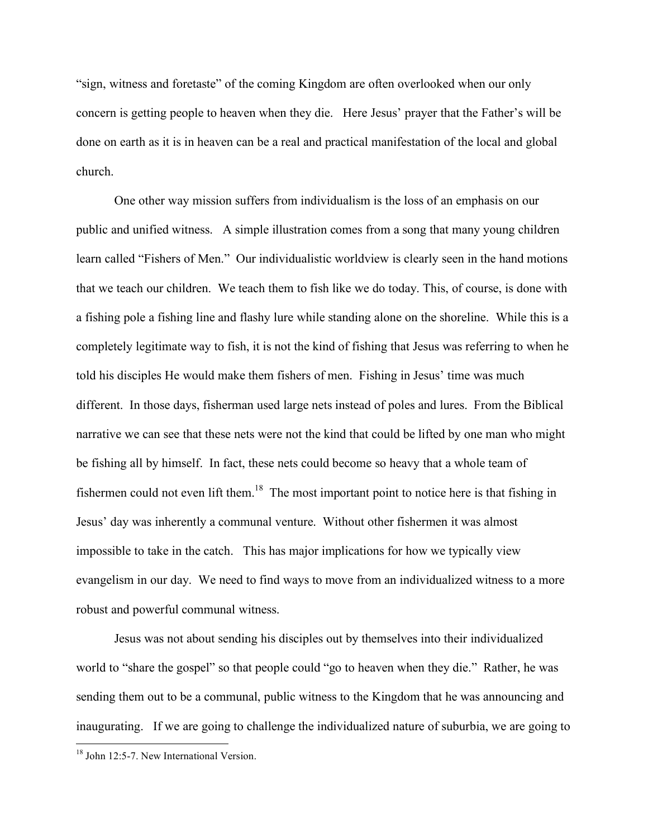"sign, witness and foretaste" of the coming Kingdom are often overlooked when our only concern is getting people to heaven when they die. Here Jesus' prayer that the Father's will be done on earth as it is in heaven can be a real and practical manifestation of the local and global church.

One other way mission suffers from individualism is the loss of an emphasis on our public and unified witness. A simple illustration comes from a song that many young children learn called "Fishers of Men." Our individualistic worldview is clearly seen in the hand motions that we teach our children. We teach them to fish like we do today. This, of course, is done with a fishing pole a fishing line and flashy lure while standing alone on the shoreline. While this is a completely legitimate way to fish, it is not the kind of fishing that Jesus was referring to when he told his disciples He would make them fishers of men. Fishing in Jesus' time was much different. In those days, fisherman used large nets instead of poles and lures. From the Biblical narrative we can see that these nets were not the kind that could be lifted by one man who might be fishing all by himself. In fact, these nets could become so heavy that a whole team of fishermen could not even lift them.<sup>18</sup> The most important point to notice here is that fishing in Jesus' day was inherently a communal venture. Without other fishermen it was almost impossible to take in the catch. This has major implications for how we typically view evangelism in our day. We need to find ways to move from an individualized witness to a more robust and powerful communal witness.

Jesus was not about sending his disciples out by themselves into their individualized world to "share the gospel" so that people could "go to heaven when they die." Rather, he was sending them out to be a communal, public witness to the Kingdom that he was announcing and inaugurating. If we are going to challenge the individualized nature of suburbia, we are going to

<sup>&</sup>lt;sup>18</sup> John 12:5-7. New International Version.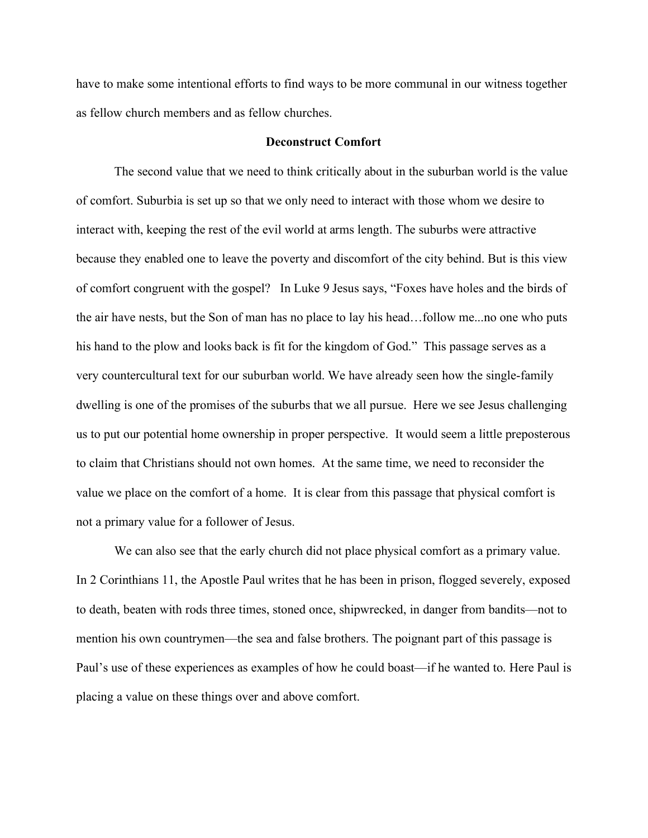have to make some intentional efforts to find ways to be more communal in our witness together as fellow church members and as fellow churches.

#### **Deconstruct Comfort**

The second value that we need to think critically about in the suburban world is the value of comfort. Suburbia is set up so that we only need to interact with those whom we desire to interact with, keeping the rest of the evil world at arms length. The suburbs were attractive because they enabled one to leave the poverty and discomfort of the city behind. But is this view of comfort congruent with the gospel? In Luke 9 Jesus says, "Foxes have holes and the birds of the air have nests, but the Son of man has no place to lay his head…follow me...no one who puts his hand to the plow and looks back is fit for the kingdom of God." This passage serves as a very countercultural text for our suburban world. We have already seen how the single-family dwelling is one of the promises of the suburbs that we all pursue. Here we see Jesus challenging us to put our potential home ownership in proper perspective. It would seem a little preposterous to claim that Christians should not own homes. At the same time, we need to reconsider the value we place on the comfort of a home. It is clear from this passage that physical comfort is not a primary value for a follower of Jesus.

We can also see that the early church did not place physical comfort as a primary value. In 2 Corinthians 11, the Apostle Paul writes that he has been in prison, flogged severely, exposed to death, beaten with rods three times, stoned once, shipwrecked, in danger from bandits—not to mention his own countrymen—the sea and false brothers. The poignant part of this passage is Paul's use of these experiences as examples of how he could boast—if he wanted to. Here Paul is placing a value on these things over and above comfort.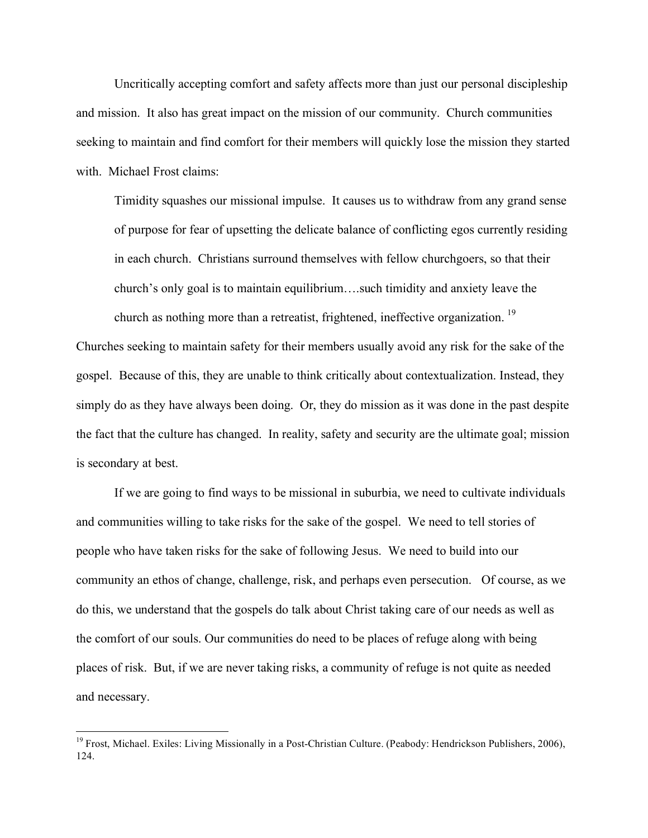Uncritically accepting comfort and safety affects more than just our personal discipleship and mission. It also has great impact on the mission of our community. Church communities seeking to maintain and find comfort for their members will quickly lose the mission they started with. Michael Frost claims:

Timidity squashes our missional impulse. It causes us to withdraw from any grand sense of purpose for fear of upsetting the delicate balance of conflicting egos currently residing in each church. Christians surround themselves with fellow churchgoers, so that their church's only goal is to maintain equilibrium….such timidity and anxiety leave the church as nothing more than a retreatist, frightened, ineffective organization.<sup>19</sup>

Churches seeking to maintain safety for their members usually avoid any risk for the sake of the gospel. Because of this, they are unable to think critically about contextualization. Instead, they simply do as they have always been doing. Or, they do mission as it was done in the past despite the fact that the culture has changed. In reality, safety and security are the ultimate goal; mission is secondary at best.

If we are going to find ways to be missional in suburbia, we need to cultivate individuals and communities willing to take risks for the sake of the gospel. We need to tell stories of people who have taken risks for the sake of following Jesus. We need to build into our community an ethos of change, challenge, risk, and perhaps even persecution. Of course, as we do this, we understand that the gospels do talk about Christ taking care of our needs as well as the comfort of our souls. Our communities do need to be places of refuge along with being places of risk. But, if we are never taking risks, a community of refuge is not quite as needed and necessary.

<sup>&</sup>lt;sup>19</sup> Frost. Michael. Exiles: Living Missionally in a Post-Christian Culture. (Peabody: Hendrickson Publishers, 2006), 124.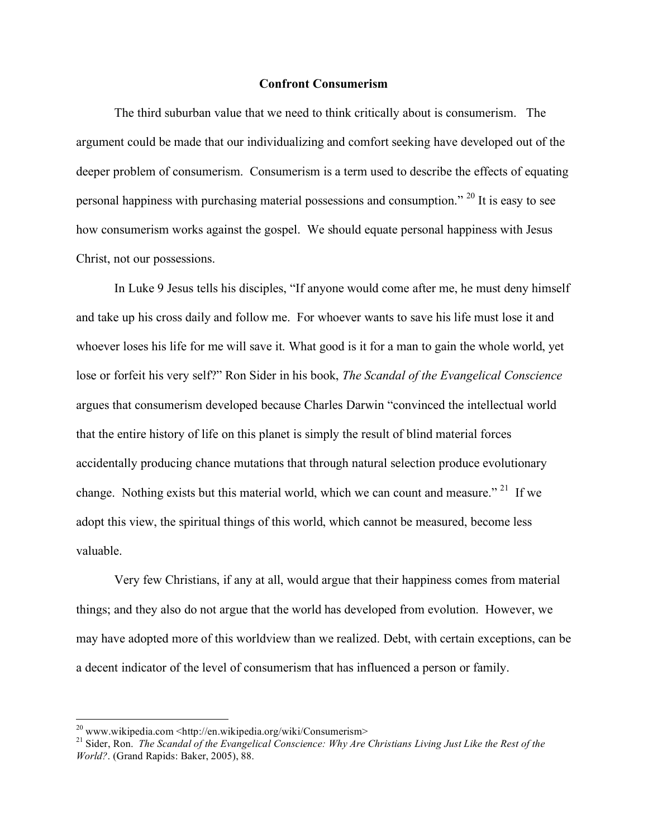#### **Confront Consumerism**

The third suburban value that we need to think critically about is consumerism. The argument could be made that our individualizing and comfort seeking have developed out of the deeper problem of consumerism. Consumerism is a term used to describe the effects of equating personal happiness with purchasing material possessions and consumption." <sup>20</sup> It is easy to see how consumerism works against the gospel. We should equate personal happiness with Jesus Christ, not our possessions.

In Luke 9 Jesus tells his disciples, "If anyone would come after me, he must deny himself and take up his cross daily and follow me. For whoever wants to save his life must lose it and whoever loses his life for me will save it. What good is it for a man to gain the whole world, yet lose or forfeit his very self?" Ron Sider in his book, *The Scandal of the Evangelical Conscience* argues that consumerism developed because Charles Darwin "convinced the intellectual world that the entire history of life on this planet is simply the result of blind material forces accidentally producing chance mutations that through natural selection produce evolutionary change. Nothing exists but this material world, which we can count and measure." <sup>21</sup> If we adopt this view, the spiritual things of this world, which cannot be measured, become less valuable.

Very few Christians, if any at all, would argue that their happiness comes from material things; and they also do not argue that the world has developed from evolution. However, we may have adopted more of this worldview than we realized. Debt, with certain exceptions, can be a decent indicator of the level of consumerism that has influenced a person or family.

<sup>&</sup>lt;sup>20</sup> www.wikipedia.com <http://en.wikipedia.org/wiki/Consumerism><br><sup>21</sup> Sider, Ron. *The Scandal of the Evangelical Conscience: Why Are Christians Living Just Like the Rest of the World?*. (Grand Rapids: Baker, 2005), 88.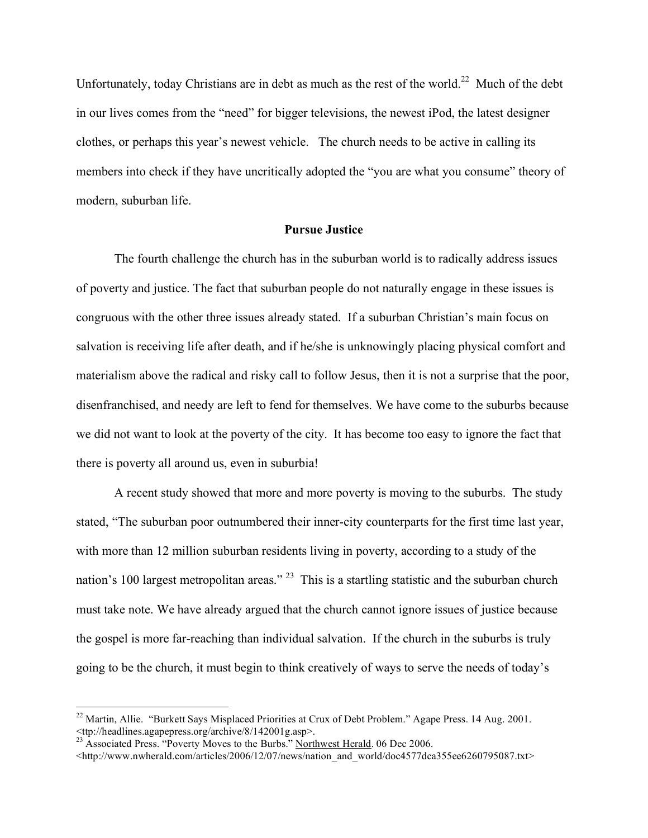Unfortunately, today Christians are in debt as much as the rest of the world.<sup>22</sup> Much of the debt in our lives comes from the "need" for bigger televisions, the newest iPod, the latest designer clothes, or perhaps this year's newest vehicle. The church needs to be active in calling its members into check if they have uncritically adopted the "you are what you consume" theory of modern, suburban life.

### **Pursue Justice**

The fourth challenge the church has in the suburban world is to radically address issues of poverty and justice. The fact that suburban people do not naturally engage in these issues is congruous with the other three issues already stated. If a suburban Christian's main focus on salvation is receiving life after death, and if he/she is unknowingly placing physical comfort and materialism above the radical and risky call to follow Jesus, then it is not a surprise that the poor, disenfranchised, and needy are left to fend for themselves. We have come to the suburbs because we did not want to look at the poverty of the city. It has become too easy to ignore the fact that there is poverty all around us, even in suburbia!

A recent study showed that more and more poverty is moving to the suburbs. The study stated, "The suburban poor outnumbered their inner-city counterparts for the first time last year, with more than 12 million suburban residents living in poverty, according to a study of the nation's 100 largest metropolitan areas."<sup>23</sup> This is a startling statistic and the suburban church must take note. We have already argued that the church cannot ignore issues of justice because the gospel is more far-reaching than individual salvation. If the church in the suburbs is truly going to be the church, it must begin to think creatively of ways to serve the needs of today's

<sup>&</sup>lt;sup>22</sup> Martin, Allie. "Burkett Says Misplaced Priorities at Crux of Debt Problem." Agape Press. 14 Aug. 2001. extractive Cancel Server Complete 1112001g.asp>.<br>
23 Associated Press. "Poverty Moves to the Burbs." <u>Northwest Herald</u>. 06 Dec 2006.

<sup>&</sup>lt;http://www.nwherald.com/articles/2006/12/07/news/nation\_and\_world/doc4577dca355ee6260795087.txt>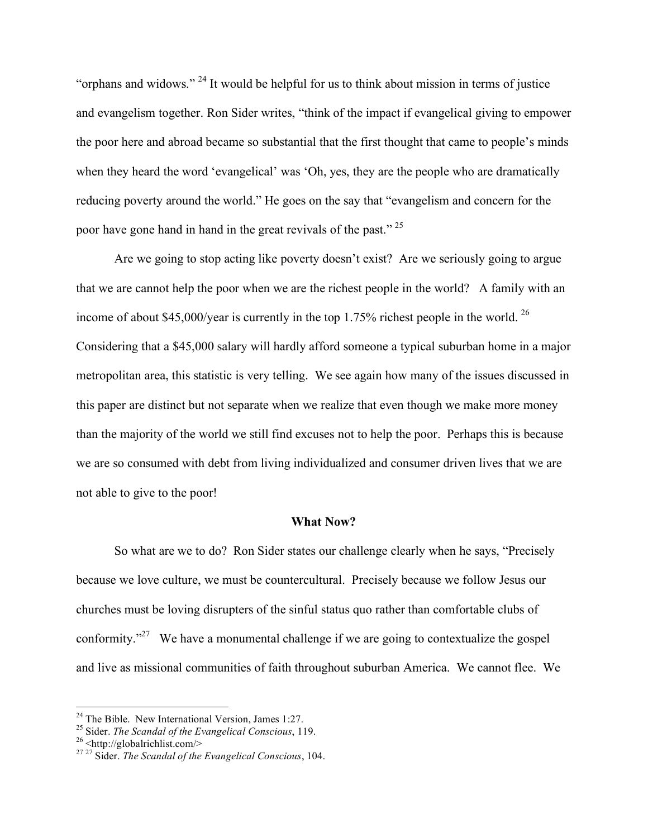"orphans and widows." <sup>24</sup> It would be helpful for us to think about mission in terms of justice and evangelism together. Ron Sider writes, "think of the impact if evangelical giving to empower the poor here and abroad became so substantial that the first thought that came to people's minds when they heard the word 'evangelical' was 'Oh, yes, they are the people who are dramatically reducing poverty around the world." He goes on the say that "evangelism and concern for the poor have gone hand in hand in the great revivals of the past." <sup>25</sup>

Are we going to stop acting like poverty doesn't exist? Are we seriously going to argue that we are cannot help the poor when we are the richest people in the world? A family with an income of about \$45,000/year is currently in the top 1.75% richest people in the world. <sup>26</sup> Considering that a \$45,000 salary will hardly afford someone a typical suburban home in a major metropolitan area, this statistic is very telling. We see again how many of the issues discussed in this paper are distinct but not separate when we realize that even though we make more money than the majority of the world we still find excuses not to help the poor. Perhaps this is because we are so consumed with debt from living individualized and consumer driven lives that we are not able to give to the poor!

#### **What Now?**

So what are we to do? Ron Sider states our challenge clearly when he says, "Precisely because we love culture, we must be countercultural. Precisely because we follow Jesus our churches must be loving disrupters of the sinful status quo rather than comfortable clubs of conformity. $127 \text{ }$  We have a monumental challenge if we are going to contextualize the gospel and live as missional communities of faith throughout suburban America. We cannot flee. We

<sup>&</sup>lt;sup>24</sup> The Bible. New International Version, James 1:27.<br><sup>25</sup> Sider. *The Scandal of the Evangelical Conscious*, 119.<br><sup>26</sup> <http://globalrichlist.com/><br><sup>27</sup> Sider. *The Scandal of the Evangelical Conscious*, 104.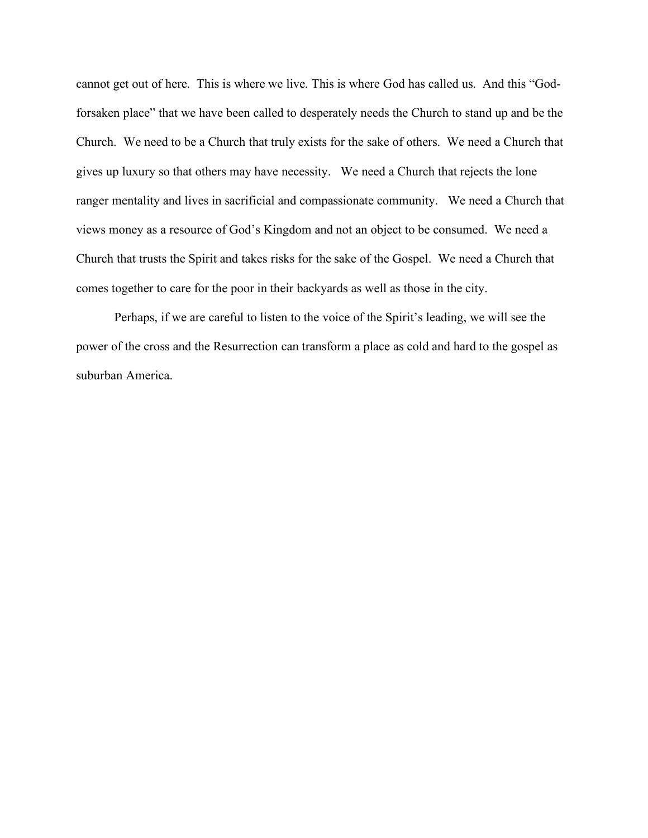cannot get out of here. This is where we live. This is where God has called us. And this "Godforsaken place" that we have been called to desperately needs the Church to stand up and be the Church. We need to be a Church that truly exists for the sake of others. We need a Church that gives up luxury so that others may have necessity. We need a Church that rejects the lone ranger mentality and lives in sacrificial and compassionate community. We need a Church that views money as a resource of God's Kingdom and not an object to be consumed. We need a Church that trusts the Spirit and takes risks for the sake of the Gospel. We need a Church that comes together to care for the poor in their backyards as well as those in the city.

Perhaps, if we are careful to listen to the voice of the Spirit's leading, we will see the power of the cross and the Resurrection can transform a place as cold and hard to the gospel as suburban America.